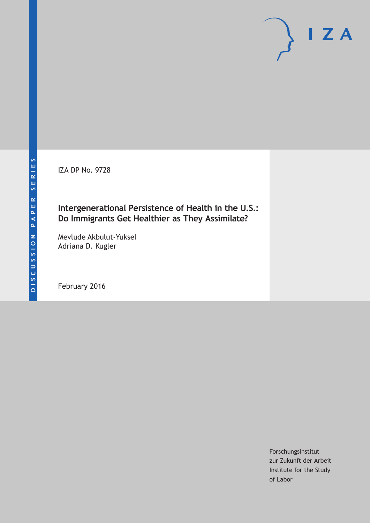IZA DP No. 9728

### **Intergenerational Persistence of Health in the U.S.: Do Immigrants Get Healthier as They Assimilate?**

Mevlude Akbulut-Yuksel Adriana D. Kugler

February 2016

Forschungsinstitut zur Zukunft der Arbeit Institute for the Study of Labor

 $I Z A$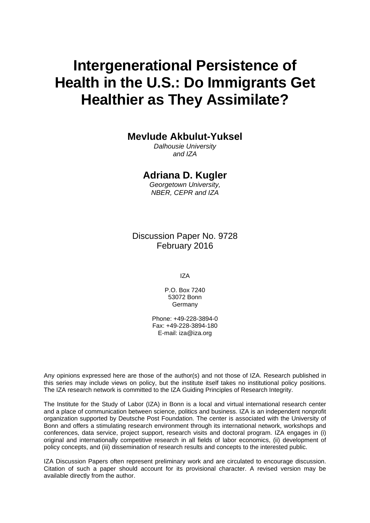# **Intergenerational Persistence of Health in the U.S.: Do Immigrants Get Healthier as They Assimilate?**

**Mevlude Akbulut-Yuksel** 

*Dalhousie University and IZA* 

### **Adriana D. Kugler**

*Georgetown University, NBER, CEPR and IZA* 

Discussion Paper No. 9728 February 2016

IZA

P.O. Box 7240 53072 Bonn **Germany** 

Phone: +49-228-3894-0 Fax: +49-228-3894-180 E-mail: iza@iza.org

Any opinions expressed here are those of the author(s) and not those of IZA. Research published in this series may include views on policy, but the institute itself takes no institutional policy positions. The IZA research network is committed to the IZA Guiding Principles of Research Integrity.

The Institute for the Study of Labor (IZA) in Bonn is a local and virtual international research center and a place of communication between science, politics and business. IZA is an independent nonprofit organization supported by Deutsche Post Foundation. The center is associated with the University of Bonn and offers a stimulating research environment through its international network, workshops and conferences, data service, project support, research visits and doctoral program. IZA engages in (i) original and internationally competitive research in all fields of labor economics, (ii) development of policy concepts, and (iii) dissemination of research results and concepts to the interested public.

IZA Discussion Papers often represent preliminary work and are circulated to encourage discussion. Citation of such a paper should account for its provisional character. A revised version may be available directly from the author.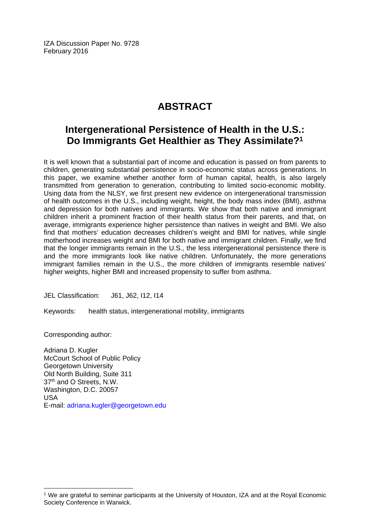IZA Discussion Paper No. 9728 February 2016

## **ABSTRACT**

### **Intergenerational Persistence of Health in the U.S.: Do Immigrants Get Healthier as They Assimilate?1**

It is well known that a substantial part of income and education is passed on from parents to children, generating substantial persistence in socio-economic status across generations. In this paper, we examine whether another form of human capital, health, is also largely transmitted from generation to generation, contributing to limited socio-economic mobility. Using data from the NLSY, we first present new evidence on intergenerational transmission of health outcomes in the U.S., including weight, height, the body mass index (BMI), asthma and depression for both natives and immigrants. We show that both native and immigrant children inherit a prominent fraction of their health status from their parents, and that, on average, immigrants experience higher persistence than natives in weight and BMI. We also find that mothers' education decreases children's weight and BMI for natives, while single motherhood increases weight and BMI for both native and immigrant children. Finally, we find that the longer immigrants remain in the U.S., the less intergenerational persistence there is and the more immigrants look like native children. Unfortunately, the more generations immigrant families remain in the U.S., the more children of immigrants resemble natives' higher weights, higher BMI and increased propensity to suffer from asthma.

JEL Classification: J61, J62, I12, I14

Keywords: health status, intergenerational mobility, immigrants

Corresponding author:

 $\overline{a}$ 

Adriana D. Kugler McCourt School of Public Policy Georgetown University Old North Building, Suite 311 37<sup>th</sup> and O Streets, N.W. Washington, D.C. 20057 USA E-mail: adriana.kugler@georgetown.edu

<sup>1</sup> We are grateful to seminar participants at the University of Houston, IZA and at the Royal Economic Society Conference in Warwick.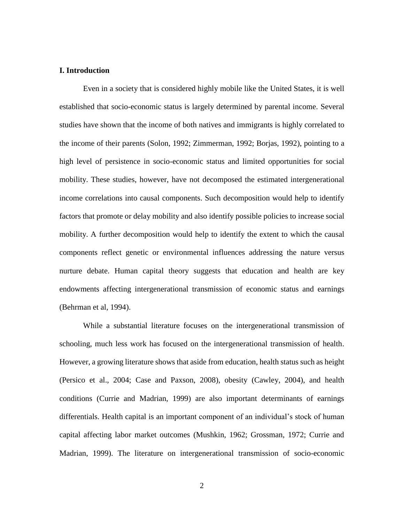#### **I. Introduction**

Even in a society that is considered highly mobile like the United States, it is well established that socio-economic status is largely determined by parental income. Several studies have shown that the income of both natives and immigrants is highly correlated to the income of their parents (Solon, 1992; Zimmerman, 1992; Borjas, 1992), pointing to a high level of persistence in socio-economic status and limited opportunities for social mobility. These studies, however, have not decomposed the estimated intergenerational income correlations into causal components. Such decomposition would help to identify factors that promote or delay mobility and also identify possible policies to increase social mobility. A further decomposition would help to identify the extent to which the causal components reflect genetic or environmental influences addressing the nature versus nurture debate. Human capital theory suggests that education and health are key endowments affecting intergenerational transmission of economic status and earnings (Behrman et al, 1994).

While a substantial literature focuses on the intergenerational transmission of schooling, much less work has focused on the intergenerational transmission of health. However, a growing literature shows that aside from education, health status such as height (Persico et al., 2004; Case and Paxson, 2008), obesity (Cawley, 2004), and health conditions (Currie and Madrian, 1999) are also important determinants of earnings differentials. Health capital is an important component of an individual's stock of human capital affecting labor market outcomes (Mushkin, 1962; Grossman, 1972; Currie and Madrian, 1999). The literature on intergenerational transmission of socio-economic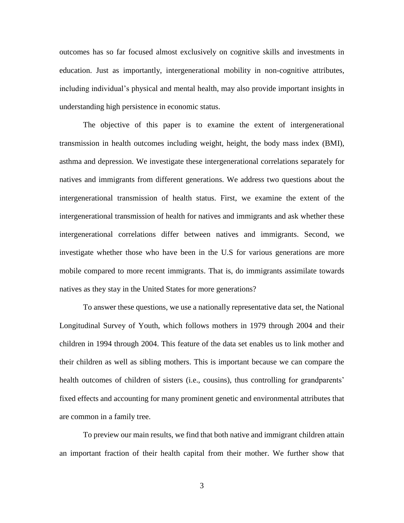outcomes has so far focused almost exclusively on cognitive skills and investments in education. Just as importantly, intergenerational mobility in non-cognitive attributes, including individual's physical and mental health, may also provide important insights in understanding high persistence in economic status.

The objective of this paper is to examine the extent of intergenerational transmission in health outcomes including weight, height, the body mass index (BMI), asthma and depression. We investigate these intergenerational correlations separately for natives and immigrants from different generations. We address two questions about the intergenerational transmission of health status. First, we examine the extent of the intergenerational transmission of health for natives and immigrants and ask whether these intergenerational correlations differ between natives and immigrants. Second, we investigate whether those who have been in the U.S for various generations are more mobile compared to more recent immigrants. That is, do immigrants assimilate towards natives as they stay in the United States for more generations?

To answer these questions, we use a nationally representative data set, the National Longitudinal Survey of Youth, which follows mothers in 1979 through 2004 and their children in 1994 through 2004. This feature of the data set enables us to link mother and their children as well as sibling mothers. This is important because we can compare the health outcomes of children of sisters (i.e., cousins), thus controlling for grandparents' fixed effects and accounting for many prominent genetic and environmental attributes that are common in a family tree.

To preview our main results, we find that both native and immigrant children attain an important fraction of their health capital from their mother. We further show that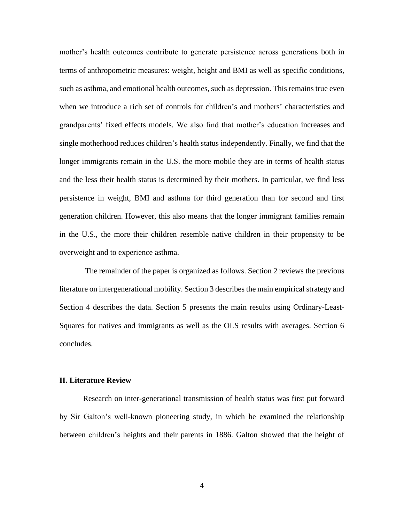mother's health outcomes contribute to generate persistence across generations both in terms of anthropometric measures: weight, height and BMI as well as specific conditions, such as asthma, and emotional health outcomes, such as depression. This remains true even when we introduce a rich set of controls for children's and mothers' characteristics and grandparents' fixed effects models. We also find that mother's education increases and single motherhood reduces children's health status independently. Finally, we find that the longer immigrants remain in the U.S. the more mobile they are in terms of health status and the less their health status is determined by their mothers. In particular, we find less persistence in weight, BMI and asthma for third generation than for second and first generation children. However, this also means that the longer immigrant families remain in the U.S., the more their children resemble native children in their propensity to be overweight and to experience asthma.

The remainder of the paper is organized as follows. Section 2 reviews the previous literature on intergenerational mobility. Section 3 describes the main empirical strategy and Section 4 describes the data. Section 5 presents the main results using Ordinary-Least-Squares for natives and immigrants as well as the OLS results with averages. Section 6 concludes.

#### **II. Literature Review**

Research on inter-generational transmission of health status was first put forward by Sir Galton's well-known pioneering study, in which he examined the relationship between children's heights and their parents in 1886. Galton showed that the height of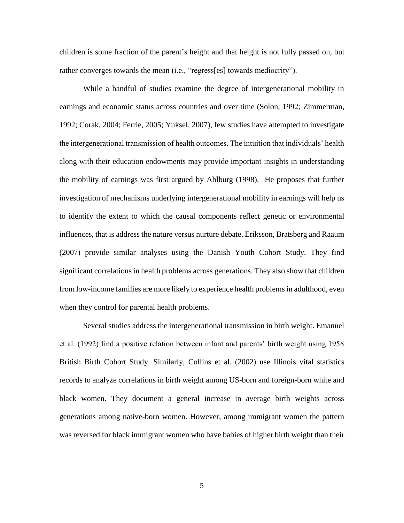children is some fraction of the parent's height and that height is not fully passed on, but rather converges towards the mean (i.e., "regress[es] towards mediocrity").

While a handful of studies examine the degree of intergenerational mobility in earnings and economic status across countries and over time (Solon, 1992; Zimmerman, 1992; Corak, 2004; Ferrie, 2005; Yuksel, 2007), few studies have attempted to investigate the intergenerational transmission of health outcomes. The intuition that individuals' health along with their education endowments may provide important insights in understanding the mobility of earnings was first argued by Ahlburg (1998). He proposes that further investigation of mechanisms underlying intergenerational mobility in earnings will help us to identify the extent to which the causal components reflect genetic or environmental influences, that is address the nature versus nurture debate. Eriksson, Bratsberg and Raaum (2007) provide similar analyses using the Danish Youth Cohort Study. They find significant correlations in health problems across generations. They also show that children from low-income families are more likely to experience health problems in adulthood, even when they control for parental health problems.

Several studies address the intergenerational transmission in birth weight. Emanuel et al. (1992) find a positive relation between infant and parents' birth weight using 1958 British Birth Cohort Study. Similarly, Collins et al. (2002) use Illinois vital statistics records to analyze correlations in birth weight among US-born and foreign-born white and black women. They document a general increase in average birth weights across generations among native-born women. However, among immigrant women the pattern was reversed for black immigrant women who have babies of higher birth weight than their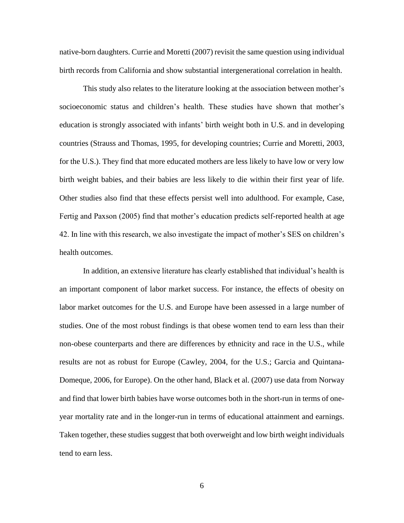native-born daughters. Currie and Moretti (2007) revisit the same question using individual birth records from California and show substantial intergenerational correlation in health.

This study also relates to the literature looking at the association between mother's socioeconomic status and children's health. These studies have shown that mother's education is strongly associated with infants' birth weight both in U.S. and in developing countries (Strauss and Thomas, 1995, for developing countries; Currie and Moretti, 2003, for the U.S.). They find that more educated mothers are less likely to have low or very low birth weight babies, and their babies are less likely to die within their first year of life. Other studies also find that these effects persist well into adulthood. For example, Case, Fertig and Paxson (2005) find that mother's education predicts self-reported health at age 42. In line with this research, we also investigate the impact of mother's SES on children's health outcomes.

In addition, an extensive literature has clearly established that individual's health is an important component of labor market success. For instance, the effects of obesity on labor market outcomes for the U.S. and Europe have been assessed in a large number of studies. One of the most robust findings is that obese women tend to earn less than their non-obese counterparts and there are differences by ethnicity and race in the U.S., while results are not as robust for Europe (Cawley, 2004, for the U.S.; Garcia and Quintana-Domeque, 2006, for Europe). On the other hand, Black et al. (2007) use data from Norway and find that lower birth babies have worse outcomes both in the short-run in terms of oneyear mortality rate and in the longer-run in terms of educational attainment and earnings. Taken together, these studies suggest that both overweight and low birth weight individuals tend to earn less.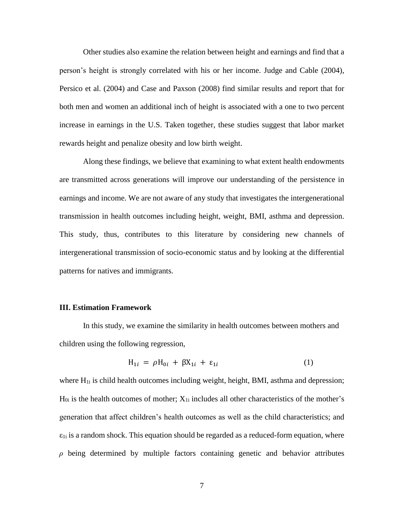Other studies also examine the relation between height and earnings and find that a person's height is strongly correlated with his or her income. Judge and Cable (2004), Persico et al. (2004) and Case and Paxson (2008) find similar results and report that for both men and women an additional inch of height is associated with a one to two percent increase in earnings in the U.S. Taken together, these studies suggest that labor market rewards height and penalize obesity and low birth weight.

Along these findings, we believe that examining to what extent health endowments are transmitted across generations will improve our understanding of the persistence in earnings and income. We are not aware of any study that investigates the intergenerational transmission in health outcomes including height, weight, BMI, asthma and depression. This study, thus, contributes to this literature by considering new channels of intergenerational transmission of socio-economic status and by looking at the differential patterns for natives and immigrants.

#### **III. Estimation Framework**

In this study, we examine the similarity in health outcomes between mothers and children using the following regression,

$$
H_{1i} = \rho H_{0i} + \beta X_{1i} + \varepsilon_{1i} \tag{1}
$$

where  $H_{1i}$  is child health outcomes including weight, height, BMI, asthma and depression;  $H_{0i}$  is the health outcomes of mother;  $X_{1i}$  includes all other characteristics of the mother's generation that affect children's health outcomes as well as the child characteristics; and  $\varepsilon_{1i}$  is a random shock. This equation should be regarded as a reduced-form equation, where *ρ* being determined by multiple factors containing genetic and behavior attributes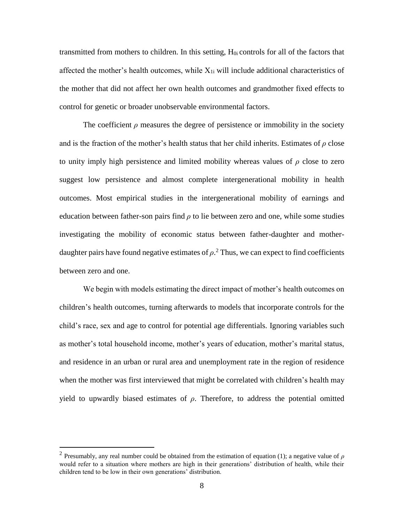transmitted from mothers to children. In this setting, H0i controls for all of the factors that affected the mother's health outcomes, while  $X_{1i}$  will include additional characteristics of the mother that did not affect her own health outcomes and grandmother fixed effects to control for genetic or broader unobservable environmental factors.

The coefficient  $\rho$  measures the degree of persistence or immobility in the society and is the fraction of the mother's health status that her child inherits. Estimates of *ρ* close to unity imply high persistence and limited mobility whereas values of  $\rho$  close to zero suggest low persistence and almost complete intergenerational mobility in health outcomes. Most empirical studies in the intergenerational mobility of earnings and education between father-son pairs find  $\rho$  to lie between zero and one, while some studies investigating the mobility of economic status between father-daughter and motherdaughter pairs have found negative estimates of  $\rho$ <sup>2</sup>. Thus, we can expect to find coefficients between zero and one.

We begin with models estimating the direct impact of mother's health outcomes on children's health outcomes, turning afterwards to models that incorporate controls for the child's race, sex and age to control for potential age differentials. Ignoring variables such as mother's total household income, mother's years of education, mother's marital status, and residence in an urban or rural area and unemployment rate in the region of residence when the mother was first interviewed that might be correlated with children's health may yield to upwardly biased estimates of  $\rho$ . Therefore, to address the potential omitted

 $\overline{a}$ 

<sup>&</sup>lt;sup>2</sup> Presumably, any real number could be obtained from the estimation of equation (1); a negative value of  $\rho$ would refer to a situation where mothers are high in their generations' distribution of health, while their children tend to be low in their own generations' distribution.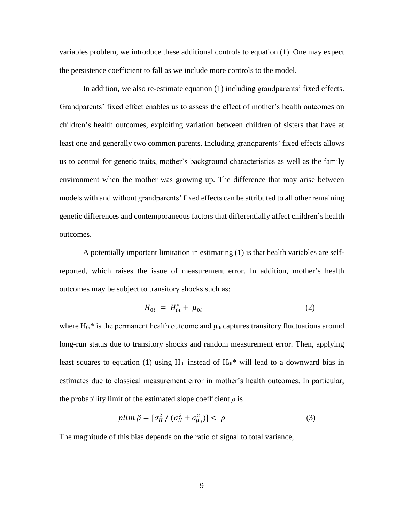variables problem, we introduce these additional controls to equation (1). One may expect the persistence coefficient to fall as we include more controls to the model.

In addition, we also re-estimate equation (1) including grandparents' fixed effects. Grandparents' fixed effect enables us to assess the effect of mother's health outcomes on children's health outcomes, exploiting variation between children of sisters that have at least one and generally two common parents. Including grandparents' fixed effects allows us to control for genetic traits, mother's background characteristics as well as the family environment when the mother was growing up. The difference that may arise between models with and without grandparents' fixed effects can be attributed to all other remaining genetic differences and contemporaneous factors that differentially affect children's health outcomes.

A potentially important limitation in estimating (1) is that health variables are selfreported, which raises the issue of measurement error. In addition, mother's health outcomes may be subject to transitory shocks such as:

$$
H_{0i} = H_{0i}^* + \mu_{0i} \tag{2}
$$

where  $H_{0i}$ <sup>\*</sup> is the permanent health outcome and  $\mu_{0i}$  captures transitory fluctuations around long-run status due to transitory shocks and random measurement error. Then, applying least squares to equation (1) using  $H_{0i}$  instead of  $H_{0i}$ <sup>\*</sup> will lead to a downward bias in estimates due to classical measurement error in mother's health outcomes. In particular, the probability limit of the estimated slope coefficient  $\rho$  is

$$
plim \hat{\rho} = \left[\sigma_H^2 / \left(\sigma_H^2 + \sigma_{\mu_0}^2\right)\right] < \rho \tag{3}
$$

The magnitude of this bias depends on the ratio of signal to total variance,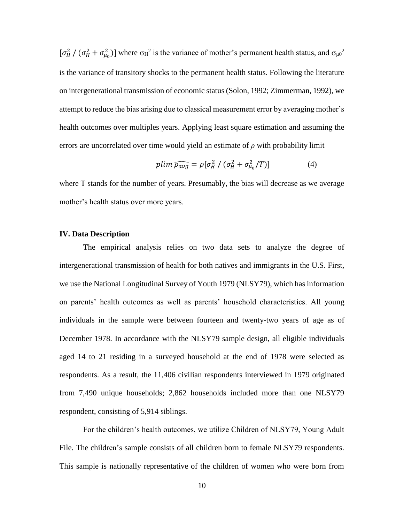$[\sigma_H^2/(\sigma_H^2+\sigma_{\mu_0}^2)]$  where  $\sigma_H^2$  is the variance of mother's permanent health status, and  $\sigma_{\mu_0}^2$ is the variance of transitory shocks to the permanent health status. Following the literature on intergenerational transmission of economic status (Solon, 1992; Zimmerman, 1992), we attempt to reduce the bias arising due to classical measurement error by averaging mother's health outcomes over multiples years. Applying least square estimation and assuming the errors are uncorrelated over time would yield an estimate of *ρ* with probability limit

$$
plim \widehat{\rho_{avg}} = \rho [\sigma_H^2 / (\sigma_H^2 + \sigma_{\mu_0}^2 / T)] \tag{4}
$$

where T stands for the number of years. Presumably, the bias will decrease as we average mother's health status over more years.

#### **IV. Data Description**

The empirical analysis relies on two data sets to analyze the degree of intergenerational transmission of health for both natives and immigrants in the U.S. First, we use the National Longitudinal Survey of Youth 1979 (NLSY79), which has information on parents' health outcomes as well as parents' household characteristics. All young individuals in the sample were between fourteen and twenty-two years of age as of December 1978. In accordance with the NLSY79 sample design, all eligible individuals aged 14 to 21 residing in a surveyed household at the end of 1978 were selected as respondents. As a result, the 11,406 civilian respondents interviewed in 1979 originated from 7,490 unique households; 2,862 households included more than one NLSY79 respondent, consisting of 5,914 siblings.

For the children's health outcomes, we utilize Children of NLSY79, Young Adult File. The children's sample consists of all children born to female NLSY79 respondents. This sample is nationally representative of the children of women who were born from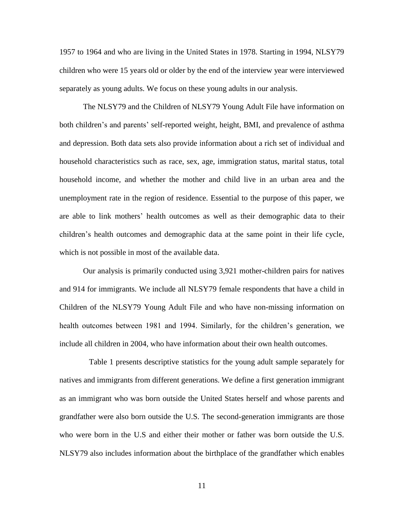1957 to 1964 and who are living in the United States in 1978. Starting in 1994, NLSY79 children who were 15 years old or older by the end of the interview year were interviewed separately as young adults. We focus on these young adults in our analysis.

The NLSY79 and the Children of NLSY79 Young Adult File have information on both children's and parents' self-reported weight, height, BMI, and prevalence of asthma and depression. Both data sets also provide information about a rich set of individual and household characteristics such as race, sex, age, immigration status, marital status, total household income, and whether the mother and child live in an urban area and the unemployment rate in the region of residence. Essential to the purpose of this paper, we are able to link mothers' health outcomes as well as their demographic data to their children's health outcomes and demographic data at the same point in their life cycle, which is not possible in most of the available data.

Our analysis is primarily conducted using 3,921 mother-children pairs for natives and 914 for immigrants. We include all NLSY79 female respondents that have a child in Children of the NLSY79 Young Adult File and who have non-missing information on health outcomes between 1981 and 1994. Similarly, for the children's generation, we include all children in 2004, who have information about their own health outcomes.

 Table 1 presents descriptive statistics for the young adult sample separately for natives and immigrants from different generations. We define a first generation immigrant as an immigrant who was born outside the United States herself and whose parents and grandfather were also born outside the U.S. The second-generation immigrants are those who were born in the U.S and either their mother or father was born outside the U.S. NLSY79 also includes information about the birthplace of the grandfather which enables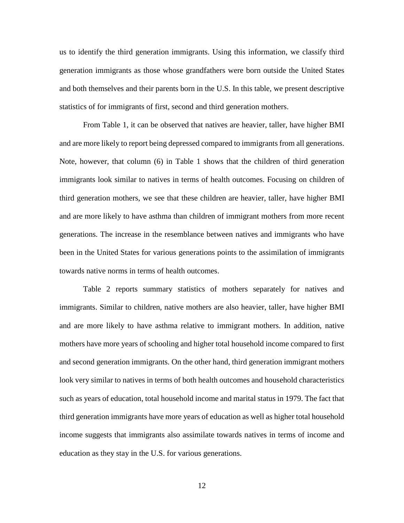us to identify the third generation immigrants. Using this information, we classify third generation immigrants as those whose grandfathers were born outside the United States and both themselves and their parents born in the U.S. In this table, we present descriptive statistics of for immigrants of first, second and third generation mothers.

From Table 1, it can be observed that natives are heavier, taller, have higher BMI and are more likely to report being depressed compared to immigrants from all generations. Note, however, that column (6) in Table 1 shows that the children of third generation immigrants look similar to natives in terms of health outcomes. Focusing on children of third generation mothers, we see that these children are heavier, taller, have higher BMI and are more likely to have asthma than children of immigrant mothers from more recent generations. The increase in the resemblance between natives and immigrants who have been in the United States for various generations points to the assimilation of immigrants towards native norms in terms of health outcomes.

Table 2 reports summary statistics of mothers separately for natives and immigrants. Similar to children, native mothers are also heavier, taller, have higher BMI and are more likely to have asthma relative to immigrant mothers. In addition, native mothers have more years of schooling and higher total household income compared to first and second generation immigrants. On the other hand, third generation immigrant mothers look very similar to natives in terms of both health outcomes and household characteristics such as years of education, total household income and marital status in 1979. The fact that third generation immigrants have more years of education as well as higher total household income suggests that immigrants also assimilate towards natives in terms of income and education as they stay in the U.S. for various generations.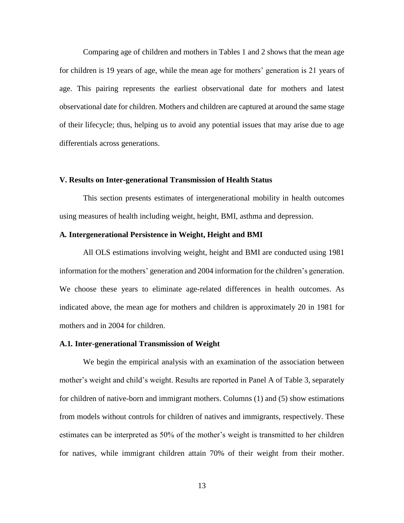Comparing age of children and mothers in Tables 1 and 2 shows that the mean age for children is 19 years of age, while the mean age for mothers' generation is 21 years of age. This pairing represents the earliest observational date for mothers and latest observational date for children. Mothers and children are captured at around the same stage of their lifecycle; thus, helping us to avoid any potential issues that may arise due to age differentials across generations.

#### **V. Results on Inter-generational Transmission of Health Status**

This section presents estimates of intergenerational mobility in health outcomes using measures of health including weight, height, BMI, asthma and depression.

#### **A***.* **Intergenerational Persistence in Weight, Height and BMI**

All OLS estimations involving weight, height and BMI are conducted using 1981 information for the mothers' generation and 2004 information for the children's generation. We choose these years to eliminate age-related differences in health outcomes. As indicated above, the mean age for mothers and children is approximately 20 in 1981 for mothers and in 2004 for children.

#### **A.1***.* **Inter-generational Transmission of Weight**

We begin the empirical analysis with an examination of the association between mother's weight and child's weight. Results are reported in Panel A of Table 3, separately for children of native-born and immigrant mothers. Columns (1) and (5) show estimations from models without controls for children of natives and immigrants, respectively. These estimates can be interpreted as 50% of the mother's weight is transmitted to her children for natives, while immigrant children attain 70% of their weight from their mother.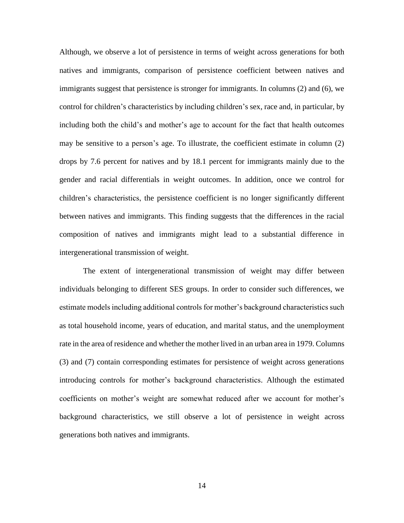Although, we observe a lot of persistence in terms of weight across generations for both natives and immigrants, comparison of persistence coefficient between natives and immigrants suggest that persistence is stronger for immigrants. In columns (2) and (6), we control for children's characteristics by including children's sex, race and, in particular, by including both the child's and mother's age to account for the fact that health outcomes may be sensitive to a person's age. To illustrate, the coefficient estimate in column (2) drops by 7.6 percent for natives and by 18.1 percent for immigrants mainly due to the gender and racial differentials in weight outcomes. In addition, once we control for children's characteristics, the persistence coefficient is no longer significantly different between natives and immigrants. This finding suggests that the differences in the racial composition of natives and immigrants might lead to a substantial difference in intergenerational transmission of weight.

The extent of intergenerational transmission of weight may differ between individuals belonging to different SES groups. In order to consider such differences, we estimate models including additional controls for mother's background characteristics such as total household income, years of education, and marital status, and the unemployment rate in the area of residence and whether the mother lived in an urban area in 1979. Columns (3) and (7) contain corresponding estimates for persistence of weight across generations introducing controls for mother's background characteristics. Although the estimated coefficients on mother's weight are somewhat reduced after we account for mother's background characteristics, we still observe a lot of persistence in weight across generations both natives and immigrants.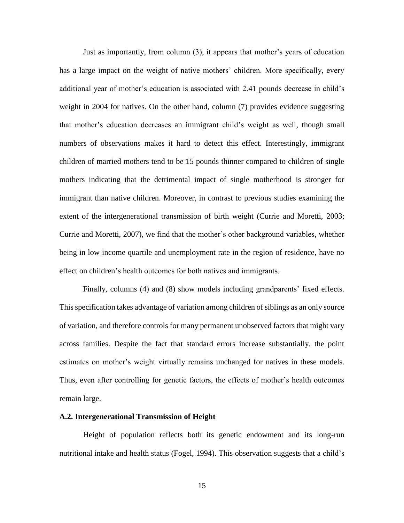Just as importantly, from column (3), it appears that mother's years of education has a large impact on the weight of native mothers' children. More specifically, every additional year of mother's education is associated with 2.41 pounds decrease in child's weight in 2004 for natives. On the other hand, column (7) provides evidence suggesting that mother's education decreases an immigrant child's weight as well, though small numbers of observations makes it hard to detect this effect. Interestingly, immigrant children of married mothers tend to be 15 pounds thinner compared to children of single mothers indicating that the detrimental impact of single motherhood is stronger for immigrant than native children. Moreover, in contrast to previous studies examining the extent of the intergenerational transmission of birth weight (Currie and Moretti, 2003; Currie and Moretti, 2007), we find that the mother's other background variables, whether being in low income quartile and unemployment rate in the region of residence, have no effect on children's health outcomes for both natives and immigrants.

Finally, columns (4) and (8) show models including grandparents' fixed effects. This specification takes advantage of variation among children of siblings as an only source of variation, and therefore controls for many permanent unobserved factors that might vary across families. Despite the fact that standard errors increase substantially, the point estimates on mother's weight virtually remains unchanged for natives in these models. Thus, even after controlling for genetic factors, the effects of mother's health outcomes remain large.

#### **A.2. Intergenerational Transmission of Height**

Height of population reflects both its genetic endowment and its long-run nutritional intake and health status (Fogel, 1994). This observation suggests that a child's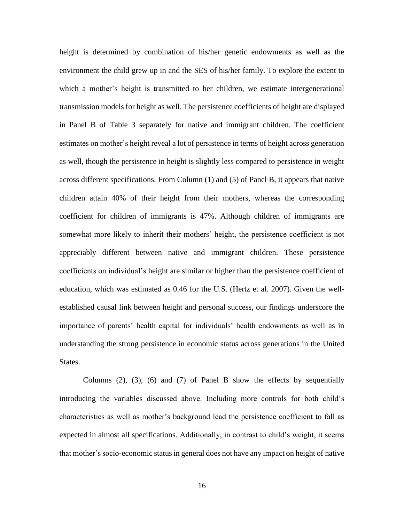height is determined by combination of his/her genetic endowments as well as the environment the child grew up in and the SES of his/her family. To explore the extent to which a mother's height is transmitted to her children, we estimate intergenerational transmission models for height as well. The persistence coefficients of height are displayed in Panel B of Table 3 separately for native and immigrant children. The coefficient estimates on mother's height reveal a lot of persistence in terms of height across generation as well, though the persistence in height is slightly less compared to persistence in weight across different specifications. From Column (1) and (5) of Panel B, it appears that native children attain 40% of their height from their mothers, whereas the corresponding coefficient for children of immigrants is 47%. Although children of immigrants are somewhat more likely to inherit their mothers' height, the persistence coefficient is not appreciably different between native and immigrant children. These persistence coefficients on individual's height are similar or higher than the persistence coefficient of education, which was estimated as 0.46 for the U.S. (Hertz et al. 2007). Given the wellestablished causal link between height and personal success, our findings underscore the importance of parents' health capital for individuals' health endowments as well as in understanding the strong persistence in economic status across generations in the United States.

Columns (2), (3), (6) and (7) of Panel B show the effects by sequentially introducing the variables discussed above. Including more controls for both child's characteristics as well as mother's background lead the persistence coefficient to fall as expected in almost all specifications. Additionally, in contrast to child's weight, it seems that mother's socio-economic status in general does not have any impact on height of native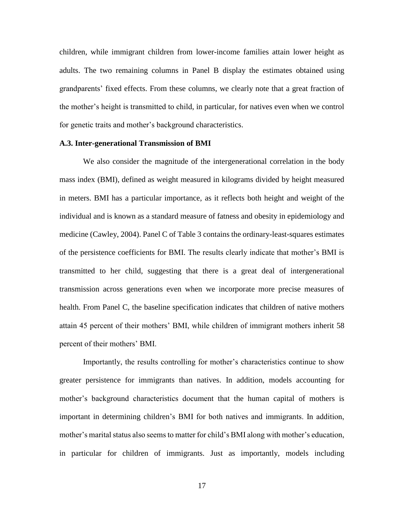children, while immigrant children from lower-income families attain lower height as adults. The two remaining columns in Panel B display the estimates obtained using grandparents' fixed effects. From these columns, we clearly note that a great fraction of the mother's height is transmitted to child, in particular, for natives even when we control for genetic traits and mother's background characteristics.

#### **A.3. Inter-generational Transmission of BMI**

We also consider the magnitude of the intergenerational correlation in the body mass index (BMI), defined as weight measured in kilograms divided by height measured in meters. BMI has a particular importance, as it reflects both height and weight of the individual and is known as a standard measure of fatness and obesity in epidemiology and medicine (Cawley, 2004). Panel C of Table 3 contains the ordinary-least-squares estimates of the persistence coefficients for BMI. The results clearly indicate that mother's BMI is transmitted to her child, suggesting that there is a great deal of intergenerational transmission across generations even when we incorporate more precise measures of health. From Panel C, the baseline specification indicates that children of native mothers attain 45 percent of their mothers' BMI, while children of immigrant mothers inherit 58 percent of their mothers' BMI.

Importantly, the results controlling for mother's characteristics continue to show greater persistence for immigrants than natives. In addition, models accounting for mother's background characteristics document that the human capital of mothers is important in determining children's BMI for both natives and immigrants. In addition, mother's marital status also seems to matter for child's BMI along with mother's education, in particular for children of immigrants. Just as importantly, models including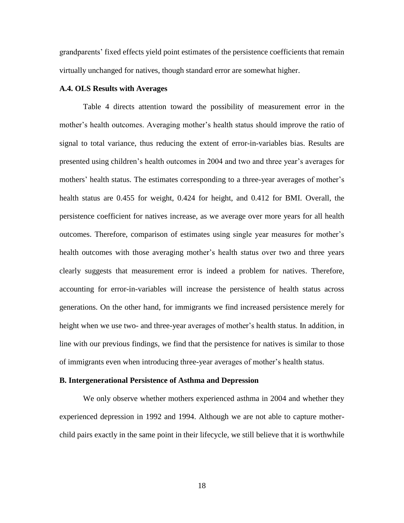grandparents' fixed effects yield point estimates of the persistence coefficients that remain virtually unchanged for natives, though standard error are somewhat higher.

#### **A.4. OLS Results with Averages**

Table 4 directs attention toward the possibility of measurement error in the mother's health outcomes. Averaging mother's health status should improve the ratio of signal to total variance, thus reducing the extent of error-in-variables bias. Results are presented using children's health outcomes in 2004 and two and three year's averages for mothers' health status. The estimates corresponding to a three-year averages of mother's health status are 0.455 for weight, 0.424 for height, and 0.412 for BMI. Overall, the persistence coefficient for natives increase, as we average over more years for all health outcomes. Therefore, comparison of estimates using single year measures for mother's health outcomes with those averaging mother's health status over two and three years clearly suggests that measurement error is indeed a problem for natives. Therefore, accounting for error-in-variables will increase the persistence of health status across generations. On the other hand, for immigrants we find increased persistence merely for height when we use two- and three-year averages of mother's health status. In addition, in line with our previous findings, we find that the persistence for natives is similar to those of immigrants even when introducing three-year averages of mother's health status.

#### **B. Intergenerational Persistence of Asthma and Depression**

We only observe whether mothers experienced asthma in 2004 and whether they experienced depression in 1992 and 1994. Although we are not able to capture motherchild pairs exactly in the same point in their lifecycle, we still believe that it is worthwhile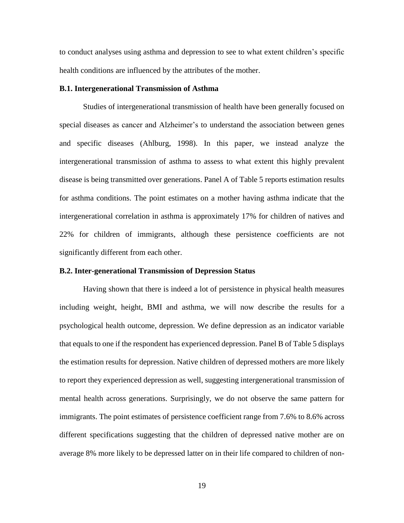to conduct analyses using asthma and depression to see to what extent children's specific health conditions are influenced by the attributes of the mother.

#### **B.1. Intergenerational Transmission of Asthma**

Studies of intergenerational transmission of health have been generally focused on special diseases as cancer and Alzheimer's to understand the association between genes and specific diseases (Ahlburg, 1998). In this paper, we instead analyze the intergenerational transmission of asthma to assess to what extent this highly prevalent disease is being transmitted over generations. Panel A of Table 5 reports estimation results for asthma conditions. The point estimates on a mother having asthma indicate that the intergenerational correlation in asthma is approximately 17% for children of natives and 22% for children of immigrants, although these persistence coefficients are not significantly different from each other.

#### **B.2. Inter-generational Transmission of Depression Status**

Having shown that there is indeed a lot of persistence in physical health measures including weight, height, BMI and asthma, we will now describe the results for a psychological health outcome, depression. We define depression as an indicator variable that equals to one if the respondent has experienced depression. Panel B of Table 5 displays the estimation results for depression. Native children of depressed mothers are more likely to report they experienced depression as well, suggesting intergenerational transmission of mental health across generations. Surprisingly, we do not observe the same pattern for immigrants. The point estimates of persistence coefficient range from 7.6% to 8.6% across different specifications suggesting that the children of depressed native mother are on average 8% more likely to be depressed latter on in their life compared to children of non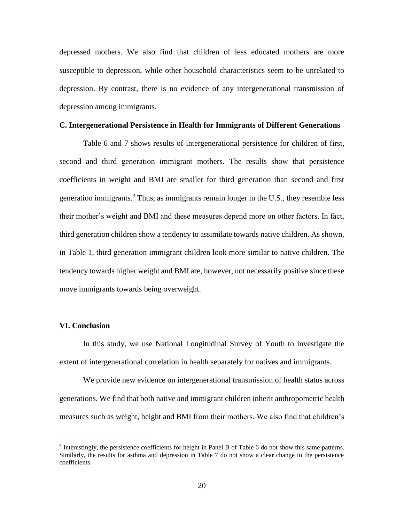depressed mothers. We also find that children of less educated mothers are more susceptible to depression, while other household characteristics seem to be unrelated to depression. By contrast, there is no evidence of any intergenerational transmission of depression among immigrants.

#### **C. Intergenerational Persistence in Health for Immigrants of Different Generations**

Table 6 and 7 shows results of intergenerational persistence for children of first, second and third generation immigrant mothers. The results show that persistence coefficients in weight and BMI are smaller for third generation than second and first generation immigrants.<sup>3</sup> Thus, as immigrants remain longer in the U.S., they resemble less their mother's weight and BMI and these measures depend more on other factors. In fact, third generation children show a tendency to assimilate towards native children. As shown, in Table 1, third generation immigrant children look more similar to native children. The tendency towards higher weight and BMI are, however, not necessarily positive since these move immigrants towards being overweight.

#### **VI. Conclusion**

 $\overline{a}$ 

In this study, we use National Longitudinal Survey of Youth to investigate the extent of intergenerational correlation in health separately for natives and immigrants.

We provide new evidence on intergenerational transmission of health status across generations. We find that both native and immigrant children inherit anthropometric health measures such as weight, height and BMI from their mothers. We also find that children's

<sup>&</sup>lt;sup>3</sup> Interestingly, the persistence coefficients for height in Panel B of Table 6 do not show this same patterns. Similarly, the results for asthma and depression in Table 7 do not show a clear change in the persistence coefficients.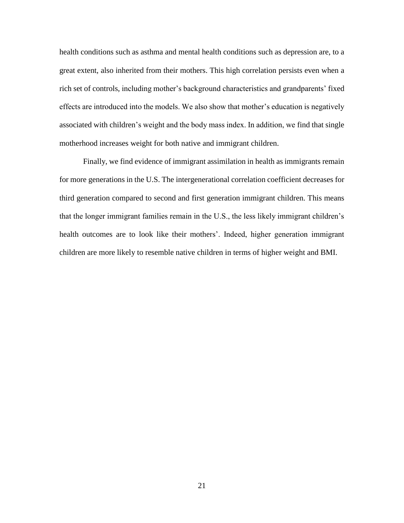health conditions such as asthma and mental health conditions such as depression are, to a great extent, also inherited from their mothers. This high correlation persists even when a rich set of controls, including mother's background characteristics and grandparents' fixed effects are introduced into the models. We also show that mother's education is negatively associated with children's weight and the body mass index. In addition, we find that single motherhood increases weight for both native and immigrant children.

Finally, we find evidence of immigrant assimilation in health as immigrants remain for more generations in the U.S. The intergenerational correlation coefficient decreases for third generation compared to second and first generation immigrant children. This means that the longer immigrant families remain in the U.S., the less likely immigrant children's health outcomes are to look like their mothers'. Indeed, higher generation immigrant children are more likely to resemble native children in terms of higher weight and BMI.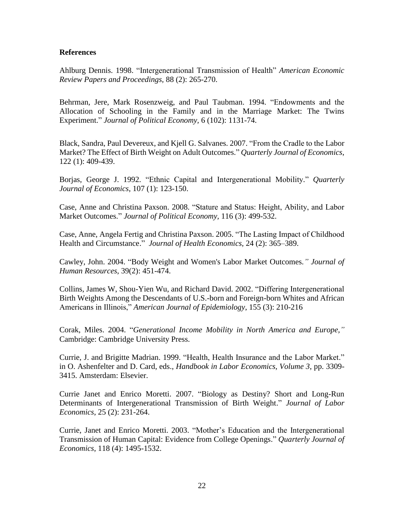#### **References**

Ahlburg Dennis. 1998. "Intergenerational Transmission of Health" *American Economic Review Papers and Proceedings,* 88 (2): 265-270.

Behrman, Jere, Mark Rosenzweig, and Paul Taubman. 1994. "Endowments and the Allocation of Schooling in the Family and in the Marriage Market: The Twins Experiment." *Journal of Political Economy,* 6 (102): 1131-74.

Black, Sandra, Paul Devereux, and Kjell G. Salvanes. 2007. "From the Cradle to the Labor Market? The Effect of Birth Weight on Adult Outcomes." *Quarterly Journal of Economics*, 122 (1): 409-439.

Borjas, George J. 1992. "Ethnic Capital and Intergenerational Mobility." *Quarterly Journal of Economics*, 107 (1): 123-150.

Case, Anne and Christina Paxson. 2008. "Stature and Status: Height, Ability, and Labor Market Outcomes." *Journal of Political Economy,* 116 (3): 499-532.

Case, Anne, Angela Fertig and Christina Paxson. 2005. "The Lasting Impact of Childhood Health and Circumstance." *Journal of Health Economics*, 24 (2): 365–389.

Cawley, John. 2004. "Body Weight and Women's Labor Market Outcomes*." Journal of Human Resources*, 39(2): 451-474.

Collins, James W, Shou-Yien Wu, and Richard David. 2002. "Differing Intergenerational Birth Weights Among the Descendants of U.S.-born and Foreign-born Whites and African Americans in Illinois," *American Journal of Epidemiology*, 155 (3): 210-216

Corak, Miles. 2004. "*Generational Income Mobility in North America and Europe,"* Cambridge: Cambridge University Press.

Currie, J. and Brigitte Madrian. 1999. "Health, Health Insurance and the Labor Market." in O. Ashenfelter and D. Card, eds., *Handbook in Labor Economics, Volume 3*, pp. 3309- 3415. Amsterdam: Elsevier.

Currie Janet and Enrico Moretti. 2007. "Biology as Destiny? Short and Long-Run Determinants of Intergenerational Transmission of Birth Weight." *Journal of Labor Economics*, 25 (2): 231-264.

Currie, Janet and Enrico Moretti. 2003. "Mother's Education and the Intergenerational Transmission of Human Capital: Evidence from College Openings." *Quarterly Journal of Economics*, 118 (4): 1495-1532.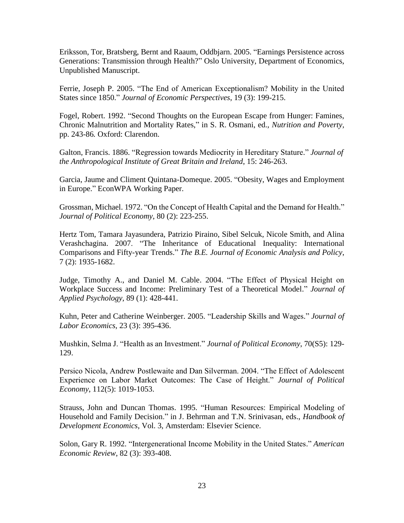Eriksson, Tor, Bratsberg, Bernt and Raaum, Oddbjarn. 2005. "Earnings Persistence across Generations: Transmission through Health?" Oslo University, Department of Economics, Unpublished Manuscript.

Ferrie, Joseph P. 2005. "The End of American Exceptionalism? Mobility in the United States since 1850." *Journal of Economic Perspectives*, 19 (3): 199-215.

Fogel, Robert. 1992. "Second Thoughts on the European Escape from Hunger: Famines, Chronic Malnutrition and Mortality Rates," in S. R. Osmani, ed., *Nutrition and Poverty,*  pp. 243-86*.* Oxford: Clarendon.

Galton, Francis. 1886. "Regression towards Mediocrity in Hereditary Stature." *Journal of the Anthropological Institute of Great Britain and Ireland*, 15: 246-263.

Garcia, Jaume and Climent Quintana-Domeque. 2005. "Obesity, Wages and Employment in Europe." EconWPA Working Paper.

Grossman, Michael. 1972. "On the Concept of Health Capital and the Demand for Health." *Journal of Political Economy*, 80 (2): 223-255.

Hertz Tom, Tamara Jayasundera, Patrizio Piraino, Sibel Selcuk, Nicole Smith, and Alina Verashchagina. 2007. "The Inheritance of Educational Inequality: International Comparisons and Fifty-year Trends." *The B.E. Journal of Economic Analysis and Policy*, 7 (2): 1935-1682.

Judge, Timothy A., and Daniel M. Cable. 2004. "The Effect of Physical Height on Workplace Success and Income: Preliminary Test of a Theoretical Model." *Journal of Applied Psychology*, 89 (1): 428-441.

Kuhn, Peter and Catherine Weinberger. 2005. "Leadership Skills and Wages." *Journal of Labor Economics*, 23 (3): 395-436.

Mushkin, Selma J. "Health as an Investment." *Journal of Political Economy*, 70(S5): 129- 129.

Persico Nicola, Andrew Postlewaite and Dan Silverman. 2004. "The Effect of Adolescent Experience on Labor Market Outcomes: The Case of Height." *Journal of Political Economy*, 112(5): 1019-1053.

Strauss, John and Duncan Thomas. 1995. "Human Resources: Empirical Modeling of Household and Family Decision." in J. Behrman and T.N. Srinivasan, eds., *Handbook of Development Economics*, Vol. 3, Amsterdam: Elsevier Science.

Solon, Gary R. 1992. "Intergenerational Income Mobility in the United States." *American Economic Review*, 82 (3): 393-408.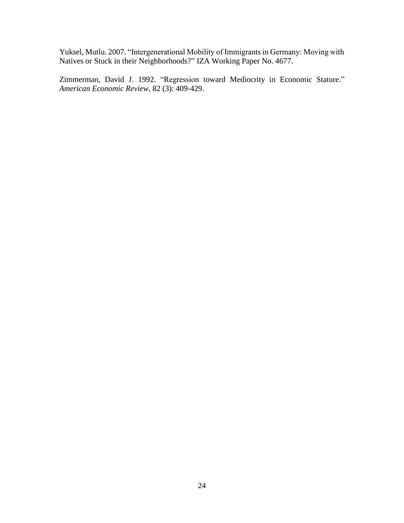Yuksel, Mutlu. 2007. "Intergenerational Mobility of Immigrants in Germany: Moving with Natives or Stuck in their Neighborhoods?" IZA Working Paper No. 4677.

Zimmerman, David J. 1992. "Regression toward Mediocrity in Economic Stature." *American Economic Review*, 82 (3): 409-429.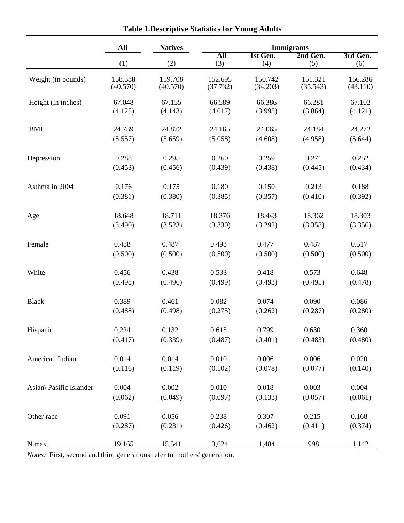|                         | All      | <b>Natives</b> | <b>Immigrants</b> |          |          |          |
|-------------------------|----------|----------------|-------------------|----------|----------|----------|
|                         |          |                | All               | 1st Gen. | 2nd Gen. | 3rd Gen. |
|                         | (1)      | (2)            | (3)               | (4)      | (5)      | (6)      |
| Weight (in pounds)      | 158.388  | 159.708        | 152.695           | 150.742  | 151.321  | 156.286  |
|                         | (40.570) | (40.570)       | (37.732)          | (34.203) | (35.543) | (43.110) |
| Height (in inches)      | 67.048   | 67.155         | 66.589            | 66.386   | 66.281   | 67.102   |
|                         | (4.125)  | (4.143)        | (4.017)           | (3.998)  | (3.864)  | (4.121)  |
| <b>BMI</b>              | 24.739   | 24.872         | 24.165            | 24.065   | 24.184   | 24.273   |
|                         | (5.557)  | (5.659)        | (5.058)           | (4.608)  | (4.958)  | (5.644)  |
| Depression              | 0.288    | 0.295          | 0.260             | 0.259    | 0.271    | 0.252    |
|                         | (0.453)  | (0.456)        | (0.439)           | (0.438)  | (0.445)  | (0.434)  |
| Asthma in 2004          | 0.176    | 0.175          | 0.180             | 0.150    | 0.213    | 0.188    |
|                         | (0.381)  | (0.380)        | (0.385)           | (0.357)  | (0.410)  | (0.392)  |
| Age                     | 18.648   | 18.711         | 18.376            | 18.443   | 18.362   | 18.303   |
|                         | (3.490)  | (3.523)        | (3.330)           | (3.292)  | (3.358)  | (3.356)  |
| Female                  | 0.488    | 0.487          | 0.493             | 0.477    | 0.487    | 0.517    |
|                         | (0.500)  | (0.500)        | (0.500)           | (0.500)  | (0.500)  | (0.500)  |
| White                   | 0.456    | 0.438          | 0.533             | 0.418    | 0.573    | 0.648    |
|                         | (0.498)  | (0.496)        | (0.499)           | (0.493)  | (0.495)  | (0.478)  |
| <b>Black</b>            | 0.389    | 0.461          | 0.082             | 0.074    | 0.090    | 0.086    |
|                         | (0.488)  | (0.498)        | (0.275)           | (0.262)  | (0.287)  | (0.280)  |
| Hispanic                | 0.224    | 0.132          | 0.615             | 0.799    | 0.630    | 0.360    |
|                         | (0.417)  | (0.339)        | (0.487)           | (0.401)  | (0.483)  | (0.480)  |
| American Indian         | 0.014    | 0.014          | 0.010             | 0.006    | 0.006    | 0.020    |
|                         | (0.116)  | (0.119)        | (0.102)           | (0.078)  | (0.077)  | (0.140)  |
| Asian\ Pasific Islander | 0.004    | 0.002          | 0.010             | 0.018    | 0.003    | 0.004    |
|                         | (0.062)  | (0.049)        | (0.097)           | (0.133)  | (0.057)  | (0.061)  |
| Other race              | 0.091    | 0.056          | 0.238             | 0.307    | 0.215    | 0.168    |
|                         | (0.287)  | (0.231)        | (0.426)           | (0.462)  | (0.411)  | (0.374)  |
| N max.                  | 19,165   | 15,541         | 3,624             | 1,484    | 998      | 1,142    |

**Table 1.Descriptive Statistics for Young Adults**

*Notes:* First, second and third generations refer to mothers' generation.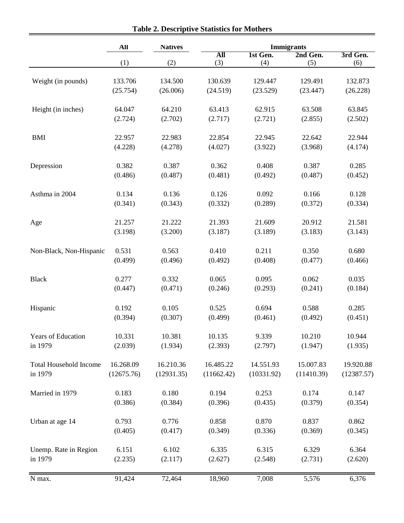|                               | All        | <b>Natives</b> |            | <b>Immigrants</b> |            |            |  |
|-------------------------------|------------|----------------|------------|-------------------|------------|------------|--|
|                               |            |                | All        | 1st Gen.          | 2nd Gen.   | 3rd Gen.   |  |
|                               | (1)        | (2)            | (3)        | (4)               | (5)        | (6)        |  |
| Weight (in pounds)            | 133.706    | 134.500        | 130.639    | 129.447           | 129.491    | 132.873    |  |
|                               | (25.754)   | (26.006)       | (24.519)   | (23.529)          | (23.447)   | (26.228)   |  |
| Height (in inches)            | 64.047     | 64.210         | 63.413     | 62.915            | 63.508     | 63.845     |  |
|                               | (2.724)    | (2.702)        | (2.717)    | (2.721)           | (2.855)    | (2.502)    |  |
| <b>BMI</b>                    | 22.957     | 22.983         | 22.854     | 22.945            | 22.642     | 22.944     |  |
|                               | (4.228)    | (4.278)        | (4.027)    | (3.922)           | (3.968)    | (4.174)    |  |
| Depression                    | 0.382      | 0.387          | 0.362      | 0.408             | 0.387      | 0.285      |  |
|                               | (0.486)    | (0.487)        | (0.481)    | (0.492)           | (0.487)    | (0.452)    |  |
| Asthma in 2004                | 0.134      | 0.136          | 0.126      | 0.092             | 0.166      | 0.128      |  |
|                               | (0.341)    | (0.343)        | (0.332)    | (0.289)           | (0.372)    | (0.334)    |  |
| Age                           | 21.257     | 21.222         | 21.393     | 21.609            | 20.912     | 21.581     |  |
|                               | (3.198)    | (3.200)        | (3.187)    | (3.189)           | (3.183)    | (3.143)    |  |
| Non-Black, Non-Hispanic       | 0.531      | 0.563          | 0.410      | 0.211             | 0.350      | 0.680      |  |
|                               | (0.499)    | (0.496)        | (0.492)    | (0.408)           | (0.477)    | (0.466)    |  |
| <b>Black</b>                  | 0.277      | 0.332          | 0.065      | 0.095             | 0.062      | 0.035      |  |
|                               | (0.447)    | (0.471)        | (0.246)    | (0.293)           | (0.241)    | (0.184)    |  |
| Hispanic                      | 0.192      | 0.105          | 0.525      | 0.694             | 0.588      | 0.285      |  |
|                               | (0.394)    | (0.307)        | (0.499)    | (0.461)           | (0.492)    | (0.451)    |  |
| Years of Education            | 10.331     | 10.381         | 10.135     | 9.339             | 10.210     | 10.944     |  |
| in 1979                       | (2.039)    | (1.934)        | (2.393)    | (2.797)           | (1.947)    | (1.935)    |  |
| <b>Total Household Income</b> | 16.268.09  | 16.210.36      | 16.485.22  | 14.551.93         | 15.007.83  | 19.920.88  |  |
| in 1979                       | (12675.76) | (12931.35)     | (11662.42) | (10331.92)        | (11410.39) | (12387.57) |  |
| Married in 1979               | 0.183      | 0.180          | 0.194      | 0.253             | 0.174      | 0.147      |  |
|                               | (0.386)    | (0.384)        | (0.396)    | (0.435)           | (0.379)    | (0.354)    |  |
| Urban at age 14               | 0.793      | 0.776          | 0.858      | 0.870             | 0.837      | 0.862      |  |
|                               | (0.405)    | (0.417)        | (0.349)    | (0.336)           | (0.369)    | (0.345)    |  |
| Unemp. Rate in Region         | 6.151      | 6.102          | 6.335      | 6.315             | 6.329      | 6.364      |  |
| in 1979                       | (2.235)    | (2.117)        | (2.627)    | (2.548)           | (2.731)    | (2.620)    |  |
| N max.                        | 91,424     | 72,464         | 18,960     | 7,008             | 5,576      | 6,376      |  |

**Table 2. Descriptive Statistics for Mothers**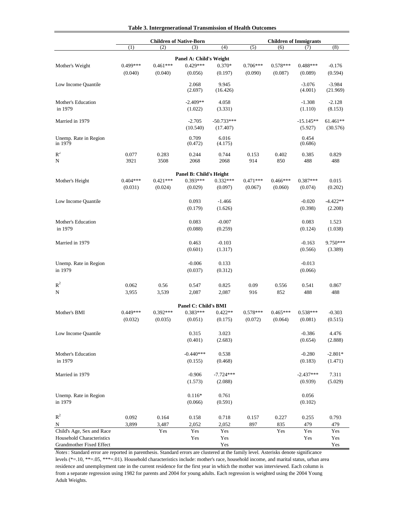| Table 3. Intergenerational Transmission of Health Outcomes |  |  |  |  |  |  |  |  |  |  |  |  |  |  |  |  |  |  |  |  |  |  |  |  |  |  |  |  |  |  |  |  |
|------------------------------------------------------------|--|--|--|--|--|--|--|--|--|--|--|--|--|--|--|--|--|--|--|--|--|--|--|--|--|--|--|--|--|--|--|--|
|------------------------------------------------------------|--|--|--|--|--|--|--|--|--|--|--|--|--|--|--|--|--|--|--|--|--|--|--|--|--|--|--|--|--|--|--|--|

|                                |            |              | <b>Children of Native-Born</b>     |                     |            |            | <b>Children of Immigrants</b> |                      |
|--------------------------------|------------|--------------|------------------------------------|---------------------|------------|------------|-------------------------------|----------------------|
|                                | (1)        | (2)          | (3)                                | (4)                 | (5)        | (6)        | (7)                           | (8)                  |
|                                |            |              | Panel A: Child's Weight            |                     |            |            |                               |                      |
| Mother's Weight                | 0.499***   | $0.461***$   | $0.429***$                         | $0.370*$            | $0.706***$ | $0.578***$ | $0.488***$                    | $-0.176$             |
|                                | (0.040)    | (0.040)      | (0.056)                            | (0.197)             | (0.090)    | (0.087)    | (0.089)                       | (0.594)              |
|                                |            |              |                                    |                     |            |            |                               |                      |
| Low Income Quantile            |            |              | 2.068<br>(2.697)                   | 9.945<br>(16.426)   |            |            | $-3.076$<br>(4.001)           | $-3.984$<br>(21.969) |
|                                |            |              |                                    |                     |            |            |                               |                      |
| Mother's Education             |            |              | $-2.409**$                         | 4.058               |            |            | $-1.308$                      | $-2.128$             |
| in 1979                        |            |              | (1.022)                            | (3.331)             |            |            | (1.110)                       | (8.153)              |
| Married in 1979                |            |              | $-2.705$                           | $-50.733***$        |            |            | $-15.145**$                   | 61.461**             |
|                                |            |              | (10.540)                           | (17.407)            |            |            | (5.927)                       | (30.576)             |
| Unemp. Rate in Region          |            |              | 0.709                              | 6.016               |            |            | 0.454                         |                      |
| in 1979                        |            |              | (0.472)                            | (4.175)             |            |            | (0.686)                       |                      |
| $R^2$                          | 0.077      | 0.283        | 0.244                              | 0.744               | 0.153      | 0.402      | 0.385                         | 0.829                |
| N                              | 3921       | 3508         | 2068                               | 2068                | 914        | 850        | 488                           | 488                  |
|                                |            |              |                                    |                     |            |            |                               |                      |
|                                |            |              | Panel B: Child's Height            |                     |            |            |                               |                      |
| Mother's Height                | $0.404***$ | $0.421***$   | $0.393***$                         | $0.332***$          | $0.471***$ | $0.466***$ | $0.387***$                    | 0.015                |
|                                | (0.031)    | (0.024)      | (0.029)                            | (0.097)             | (0.067)    | (0.060)    | (0.074)                       | (0.202)              |
| Low Income Quantile            |            |              | 0.093                              | $-1.466$            |            |            | $-0.020$                      | $-4.422**$           |
|                                |            |              | (0.179)                            | (1.626)             |            |            | (0.398)                       | (2.208)              |
|                                |            |              |                                    |                     |            |            |                               |                      |
| Mother's Education             |            |              | 0.083                              | $-0.007$            |            |            | 0.083                         | 1.523                |
| in 1979                        |            |              | (0.088)                            | (0.259)             |            |            | (0.124)                       | (1.038)              |
|                                |            |              |                                    |                     |            |            |                               |                      |
| Married in 1979                |            |              | 0.463<br>(0.601)                   | $-0.103$<br>(1.317) |            |            | $-0.163$<br>(0.566)           | 9.750***<br>(3.389)  |
|                                |            |              |                                    |                     |            |            |                               |                      |
| Unemp. Rate in Region          |            |              | $-0.006$                           | 0.133               |            |            | $-0.013$                      |                      |
| in 1979                        |            |              | (0.037)                            | (0.312)             |            |            | (0.066)                       |                      |
|                                |            |              |                                    |                     |            |            |                               |                      |
| $R^2$                          | 0.062      | 0.56         | 0.547                              | 0.825               | 0.09       | 0.556      | 0.541                         | 0.867                |
| N                              | 3,955      | 3,539        | 2,087                              | 2,087               | 916        | 852        | 488                           | 488                  |
|                                |            |              |                                    |                     |            |            |                               |                      |
| Mother's BMI                   | $0.449***$ | $0.392***$   | Panel C: Child's BMI<br>$0.383***$ | $0.422**$           | $0.578***$ | $0.465***$ | $0.538***$                    | $-0.303$             |
|                                | (0.032)    | (0.035)      | (0.051)                            | (0.175)             | (0.072)    | (0.064)    | (0.081)                       | (0.515)              |
|                                |            |              |                                    |                     |            |            |                               |                      |
| Low Income Quantile            |            |              | 0.315                              | 3.023               |            |            | $-0.386$                      | 4.476                |
|                                |            |              | (0.401)                            | (2.683)             |            |            | (0.654)                       | (2.888)              |
|                                |            |              |                                    |                     |            |            |                               |                      |
| Mother's Education             |            |              | $-0.440***$                        | 0.538               |            |            | $-0.280$                      | $-2.801*$            |
| in 1979                        |            |              | (0.155)                            | (0.468)             |            |            | (0.183)                       | (1.471)              |
| Married in 1979                |            |              | $-0.906$                           | $-7.724***$         |            |            | $-2.437***$                   | 7.311                |
|                                |            |              | (1.573)                            | (2.088)             |            |            | (0.939)                       | (5.029)              |
|                                |            |              |                                    |                     |            |            |                               |                      |
| Unemp. Rate in Region          |            |              | $0.116*$                           | 0.761               |            |            | 0.056                         |                      |
| in 1979                        |            |              | (0.066)                            | (0.591)             |            |            | (0.102)                       |                      |
|                                |            |              |                                    |                     |            |            |                               |                      |
| $\mathbb{R}^2$                 | 0.092      | 0.164        | 0.158                              | 0.718               | 0.157      | 0.227      | 0.255                         | 0.793                |
| N<br>Child's Age, Sex and Race | 3,899      | 3,487<br>Yes | 2,052<br>Yes                       | 2,052<br>Yes        | 897        | 835<br>Yes | 479<br>Yes                    | 479<br>Yes           |
| Household Characteristics      |            |              | Yes                                | Yes                 |            |            | Yes                           | Yes                  |
| Grandmother Fixed Effect       |            |              |                                    | Yes                 |            |            |                               | Yes                  |

Adult Weights. from a separate regression using 1982 for parents and 2004 for young adults. Each regression is weighted using the 2004 Young *Notes*: Standard error are reported in parenthesis. Standard errors are clustered at the family level. Asterisks denote significance levels (\*=.10, \*\*=.05, \*\*\*=.01). Household characteristics include: mother's race, household income, and marital status, urban area residence and unemployment rate in the current residence for the first year in which the mother was interviewed. Each column is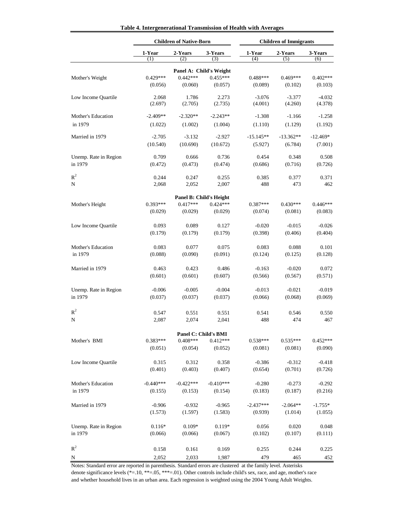| Table 4. Intergenerational Transmission of Health with Averages |  |  |  |  |  |
|-----------------------------------------------------------------|--|--|--|--|--|
|-----------------------------------------------------------------|--|--|--|--|--|

|                       |                       | <b>Children of Native-Born</b> |                                    | <b>Children of Immigrants</b> |                     |                       |
|-----------------------|-----------------------|--------------------------------|------------------------------------|-------------------------------|---------------------|-----------------------|
|                       | 1-Year<br>(1)         | 2-Years<br>(2)                 | 3-Years<br>(3)                     | 1-Year<br>(4)                 | 2-Years<br>(5)      | 3-Years<br>(6)        |
|                       |                       |                                | Panel A: Child's Weight            |                               |                     |                       |
| Mother's Weight       | $0.429***$            | $0.442***$                     | $0.455***$                         | $0.488***$                    | $0.469***$          | $0.402***$            |
|                       | (0.056)               | (0.060)                        | (0.057)                            | (0.089)                       | (0.102)             | (0.103)               |
| Low Income Quartile   | 2.068<br>(2.697)      | 1.786<br>(2.705)               | 2.273<br>(2.735)                   | $-3.076$<br>(4.001)           | $-3.377$<br>(4.260) | $-4.032$<br>(4.378)   |
| Mother's Education    | $-2.409**$            | $-2.320**$                     | $-2.243**$                         | $-1.308$                      | $-1.166$            | $-1.258$              |
| in 1979               | (1.022)               | (1.002)                        | (1.004)                            | (1.110)                       | (1.129)             | (1.192)               |
| Married in 1979       | $-2.705$              | $-3.132$                       | $-2.927$                           | $-15.145**$                   | $-13.362**$         | $-12.469*$            |
|                       | (10.540)              | (10.690)                       | (10.672)                           | (5.927)                       | (6.784)             | (7.001)               |
| Unemp. Rate in Region | 0.709                 | 0.666                          | 0.736                              | 0.454                         | 0.348               | 0.508                 |
| in 1979               | (0.472)               | (0.473)                        | (0.474)                            | (0.686)                       | (0.716)             | (0.726)               |
| $\mathbb{R}^2$        | 0.244                 | 0.247                          | 0.255                              | 0.385                         | 0.377               | 0.371                 |
| N                     | 2,068                 | 2,052                          | 2,007                              | 488                           | 473                 | 462                   |
|                       |                       |                                | <b>Panel B: Child's Height</b>     |                               |                     |                       |
| Mother's Height       | $0.393***$            | $0.417***$                     | $0.424***$                         | $0.387***$                    | $0.430***$          | $0.446***$            |
|                       | (0.029)               | (0.029)                        | (0.029)                            | (0.074)                       | (0.081)             | (0.083)               |
| Low Income Quartile   | 0.093                 | 0.089                          | 0.127                              | $-0.020$                      | $-0.015$            | $-0.026$              |
|                       | (0.179)               | (0.179)                        | (0.179)                            | (0.398)                       | (0.406)             | (0.404)               |
|                       |                       |                                |                                    |                               |                     |                       |
| Mother's Education    | 0.083                 | 0.077                          | 0.075                              | 0.083                         | 0.088               | 0.101                 |
| in 1979               | (0.088)               | (0.090)                        | (0.091)                            | (0.124)                       | (0.125)             | (0.128)               |
| Married in 1979       | 0.463                 | 0.423                          | 0.486                              | $-0.163$                      | $-0.020$            | 0.072                 |
|                       | (0.601)               | (0.601)                        | (0.607)                            | (0.566)                       | (0.567)             | (0.571)               |
| Unemp. Rate in Region | $-0.006$              | $-0.005$                       | $-0.004$                           | $-0.013$                      | $-0.021$            | $-0.019$              |
| in 1979               | (0.037)               | (0.037)                        | (0.037)                            | (0.066)                       | (0.068)             | (0.069)               |
| $R^2$                 | 0.547                 | 0.551                          | 0.551                              | 0.541                         | 0.546               | 0.550                 |
| N                     | 2,087                 | 2,074                          | 2,041                              | 488                           | 474                 | 467                   |
|                       |                       |                                |                                    |                               |                     |                       |
|                       |                       | $0.408***$                     | Panel C: Child's BMI<br>$0.412***$ |                               | $0.535***$          |                       |
| Mother's BMI          | $0.383***$<br>(0.051) | (0.054)                        | (0.052)                            | $0.538***$<br>(0.081)         | (0.081)             | $0.452***$<br>(0.090) |
|                       |                       |                                |                                    |                               |                     |                       |
| Low Income Quartile   | 0.315                 | 0.312                          | 0.358                              | $-0.386$                      | $-0.312$            | $-0.418$              |
|                       | (0.401)               | (0.403)                        | (0.407)                            | (0.654)                       | (0.701)             | (0.726)               |
| Mother's Education    | $-0.440***$           | $-0.422***$                    | $-0.410***$                        | $-0.280$                      | $-0.273$            | $-0.292$              |
| in 1979               | (0.155)               | (0.153)                        | (0.154)                            | (0.183)                       | (0.187)             | (0.216)               |
| Married in 1979       | $-0.906$              | $-0.932$                       | $-0.965$                           | $-2.437***$                   | $-2.064**$          | $-1.755*$             |
|                       | (1.573)               | (1.597)                        | (1.583)                            | (0.939)                       | (1.014)             | (1.055)               |
| Unemp. Rate in Region | $0.116*$              | $0.109*$                       | $0.119*$                           | 0.056                         | 0.020               | 0.048                 |
| in 1979               | (0.066)               | (0.066)                        | (0.067)                            | (0.102)                       | (0.107)             | (0.111)               |
|                       |                       |                                |                                    |                               |                     |                       |
| $R^2$                 | 0.158                 | 0.161                          | 0.169                              | 0.255                         | 0.244               | 0.225                 |
| N                     | 2,052                 | 2,033                          | 1,987                              | 479                           | 465                 | 452                   |

Notes: Standard error are reported in parenthesis. Standard errors are clustered at the family level. Asterisks and whether household lives in an urban area. Each regression is weighted using the 2004 Young Adult Weights. denote significance levels (\*=.10, \*\*=.05, \*\*\*=.01). Other controls include child's sex, race, and age, mother's race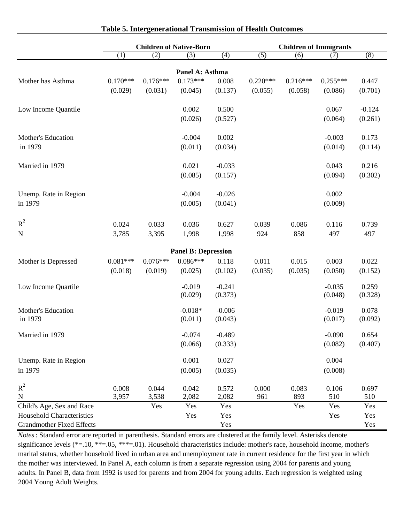|                                  | <b>Children of Native-Born</b> |            |                            |          | <b>Children of Immigrants</b> |            |            |          |  |
|----------------------------------|--------------------------------|------------|----------------------------|----------|-------------------------------|------------|------------|----------|--|
|                                  | (1)                            | (2)        | (3)                        | (4)      | (5)                           | (6)        | (7)        | (8)      |  |
|                                  |                                |            | Panel A: Asthma            |          |                               |            |            |          |  |
| Mother has Asthma                | $0.170***$                     | $0.176***$ | $0.173***$                 | 0.008    | $0.220***$                    | $0.216***$ | $0.255***$ | 0.447    |  |
|                                  | (0.029)                        | (0.031)    | (0.045)                    | (0.137)  | (0.055)                       | (0.058)    | (0.086)    | (0.701)  |  |
|                                  |                                |            |                            |          |                               |            |            |          |  |
| Low Income Quantile              |                                |            | 0.002                      | 0.500    |                               |            | 0.067      | $-0.124$ |  |
|                                  |                                |            | (0.026)                    | (0.527)  |                               |            | (0.064)    | (0.261)  |  |
|                                  |                                |            |                            |          |                               |            |            |          |  |
| Mother's Education               |                                |            | $-0.004$                   | 0.002    |                               |            | $-0.003$   | 0.173    |  |
| in 1979                          |                                |            | (0.011)                    | (0.034)  |                               |            | (0.014)    | (0.114)  |  |
|                                  |                                |            |                            |          |                               |            |            |          |  |
| Married in 1979                  |                                |            | 0.021                      | $-0.033$ |                               |            | 0.043      | 0.216    |  |
|                                  |                                |            | (0.085)                    | (0.157)  |                               |            | (0.094)    | (0.302)  |  |
|                                  |                                |            |                            |          |                               |            |            |          |  |
| Unemp. Rate in Region            |                                |            | $-0.004$                   | $-0.026$ |                               |            | 0.002      |          |  |
| in 1979                          |                                |            | (0.005)                    | (0.041)  |                               |            | (0.009)    |          |  |
|                                  |                                |            |                            |          |                               |            |            |          |  |
| $R^2$                            | 0.024                          | 0.033      | 0.036                      | 0.627    | 0.039                         | 0.086      | 0.116      | 0.739    |  |
| ${\bf N}$                        | 3,785                          | 3,395      | 1,998                      | 1,998    | 924                           | 858        | 497        | 497      |  |
|                                  |                                |            |                            |          |                               |            |            |          |  |
|                                  |                                |            | <b>Panel B: Depression</b> |          |                               |            |            |          |  |
| Mother is Depressed              | $0.081***$                     | $0.076***$ | $0.086***$                 | 0.118    | 0.011                         | 0.015      | 0.003      | 0.022    |  |
|                                  | (0.018)                        | (0.019)    | (0.025)                    | (0.102)  | (0.035)                       | (0.035)    | (0.050)    | (0.152)  |  |
|                                  |                                |            | $-0.019$                   | $-0.241$ |                               |            | $-0.035$   | 0.259    |  |
| Low Income Quartile              |                                |            | (0.029)                    | (0.373)  |                               |            | (0.048)    | (0.328)  |  |
|                                  |                                |            |                            |          |                               |            |            |          |  |
| Mother's Education               |                                |            | $-0.018*$                  | $-0.006$ |                               |            | $-0.019$   | 0.078    |  |
| in 1979                          |                                |            | (0.011)                    | (0.043)  |                               |            | (0.017)    | (0.092)  |  |
|                                  |                                |            |                            |          |                               |            |            |          |  |
| Married in 1979                  |                                |            | $-0.074$                   | $-0.489$ |                               |            | $-0.090$   | 0.654    |  |
|                                  |                                |            | (0.066)                    | (0.333)  |                               |            | (0.082)    | (0.407)  |  |
| Unemp. Rate in Region            |                                |            | 0.001                      | 0.027    |                               |            | 0.004      |          |  |
| in 1979                          |                                |            | (0.005)                    | (0.035)  |                               |            | (0.008)    |          |  |
|                                  |                                |            |                            |          |                               |            |            |          |  |
| $R^2$                            | 0.008                          | 0.044      | 0.042                      | 0.572    | $0.000\,$                     | 0.083      | 0.106      | 0.697    |  |
| ${\bf N}$                        | 3,957                          | 3,538      | 2,082                      | 2,082    | 961                           | 893        | 510        | 510      |  |
| Child's Age, Sex and Race        |                                | Yes        | Yes                        | Yes      |                               | Yes        | Yes        | Yes      |  |
| Household Characteristics        |                                |            | Yes                        | Yes      |                               |            | Yes        | Yes      |  |
| <b>Grandmother Fixed Effects</b> |                                |            |                            | Yes      |                               |            |            | Yes      |  |

#### **Table 5. Intergenerational Transmission of Health Outcomes**

adults. In Panel B, data from 1992 is used for parents and from 2004 for young adults. Each regression is weighted using 2004 Young Adult Weights. *Notes*: Standard error are reported in parenthesis. Standard errors are clustered at the family level. Asterisks denote significance levels (\*=.10, \*\*=.05, \*\*\*=.01). Household characteristics include: mother's race, household income, mother's marital status, whether household lived in urban area and unemployment rate in current residence for the first year in which the mother was interviewed. In Panel A, each column is from a separate regression using 2004 for parents and young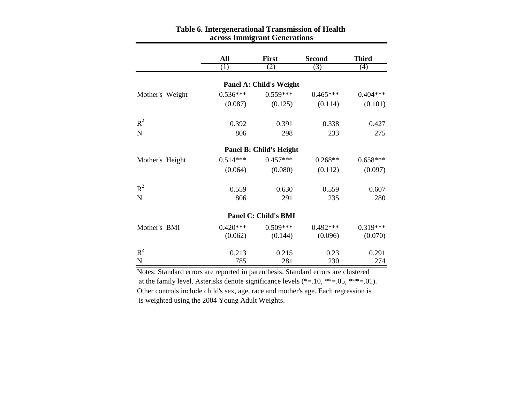|                             | All        | <b>First</b>                   | <b>Second</b> | <b>Third</b> |  |  |  |  |  |  |
|-----------------------------|------------|--------------------------------|---------------|--------------|--|--|--|--|--|--|
|                             | (1)        | (2)                            | (3)           | (4)          |  |  |  |  |  |  |
|                             |            |                                |               |              |  |  |  |  |  |  |
|                             |            | <b>Panel A: Child's Weight</b> |               |              |  |  |  |  |  |  |
| Mother's Weight             | $0.536***$ | $0.559***$                     | $0.465***$    | $0.404***$   |  |  |  |  |  |  |
|                             | (0.087)    | (0.125)                        | (0.114)       | (0.101)      |  |  |  |  |  |  |
| $R^2$                       | 0.392      | 0.391                          | 0.338         | 0.427        |  |  |  |  |  |  |
| $\mathbf N$                 | 806        | 298                            | 233           | 275          |  |  |  |  |  |  |
|                             |            | <b>Panel B: Child's Height</b> |               |              |  |  |  |  |  |  |
| Mother's Height             | $0.514***$ | $0.457***$                     | $0.268**$     | $0.658***$   |  |  |  |  |  |  |
|                             | (0.064)    | (0.080)                        | (0.112)       | (0.097)      |  |  |  |  |  |  |
| $R^2$                       | 0.559      | 0.630                          | 0.559         | 0.607        |  |  |  |  |  |  |
| $\mathbf N$                 | 806        | 291                            | 235           | 280          |  |  |  |  |  |  |
| <b>Panel C: Child's BMI</b> |            |                                |               |              |  |  |  |  |  |  |
| Mother's BMI                | $0.420***$ | $0.509***$                     | $0.492***$    | $0.319***$   |  |  |  |  |  |  |
|                             | (0.062)    | (0.144)                        | (0.096)       | (0.070)      |  |  |  |  |  |  |
| $R^2$                       | 0.213      | 0.215                          | 0.23          | 0.291        |  |  |  |  |  |  |
| $\overline{N}$              | 785        | 281                            | 230           | 274          |  |  |  |  |  |  |

#### **across Immigrant Generations Table 6. Intergenerational Transmission of Health**

Notes: Standard errors are reported in parenthesis. Standard errors are clustered Other controls include child's sex, age, race and mother's age. Each regression is is weighted using the 2004 Young Adult Weights. at the family level. Asterisks denote significance levels (\*=.10, \*\*=.05, \*\*\*=.01).